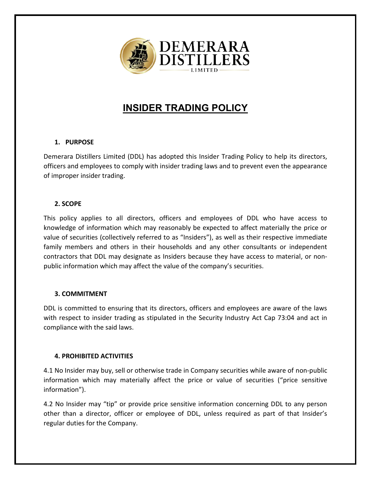

# **INSIDER TRADING POLICY**

#### **1. PURPOSE**

Demerara Distillers Limited (DDL) has adopted this Insider Trading Policy to help its directors, officers and employees to comply with insider trading laws and to prevent even the appearance of improper insider trading.

### **2. SCOPE**

This policy applies to all directors, officers and employees of DDL who have access to knowledge of information which may reasonably be expected to affect materially the price or value of securities (collectively referred to as "Insiders"), as well as their respective immediate family members and others in their households and any other consultants or independent contractors that DDL may designate as Insiders because they have access to material, or nonpublic information which may affect the value of the company's securities.

#### **3. COMMITMENT**

DDL is committed to ensuring that its directors, officers and employees are aware of the laws with respect to insider trading as stipulated in the Security Industry Act Cap 73:04 and act in compliance with the said laws.

## **4. PROHIBITED ACTIVITIES**

4.1 No Insider may buy, sell or otherwise trade in Company securities while aware of non-public information which may materially affect the price or value of securities ("price sensitive information").

4.2 No Insider may "tip" or provide price sensitive information concerning DDL to any person other than a director, officer or employee of DDL, unless required as part of that Insider's regular duties for the Company.